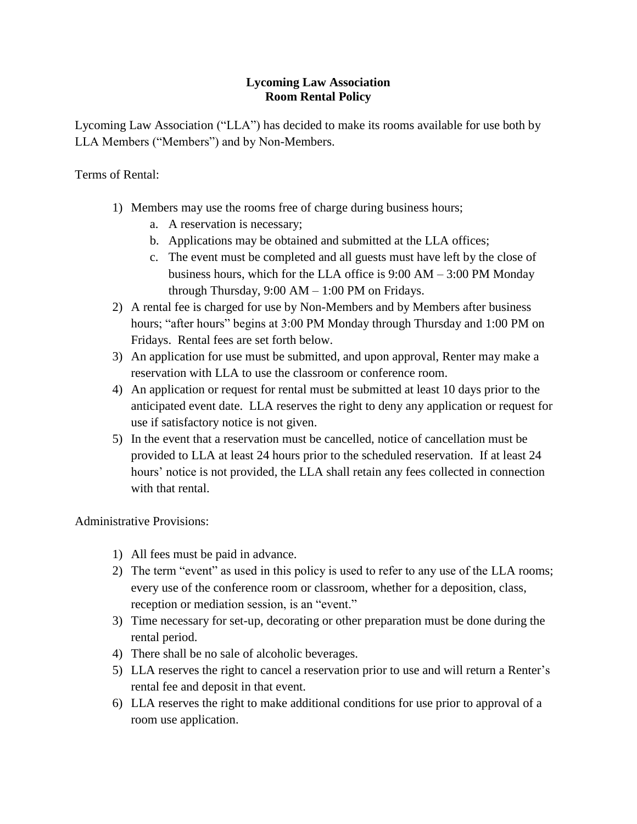## **Lycoming Law Association Room Rental Policy**

Lycoming Law Association ("LLA") has decided to make its rooms available for use both by LLA Members ("Members") and by Non-Members.

Terms of Rental:

- 1) Members may use the rooms free of charge during business hours;
	- a. A reservation is necessary;
	- b. Applications may be obtained and submitted at the LLA offices;
	- c. The event must be completed and all guests must have left by the close of business hours, which for the LLA office is 9:00 AM – 3:00 PM Monday through Thursday,  $9:00$  AM  $- 1:00$  PM on Fridays.
- 2) A rental fee is charged for use by Non-Members and by Members after business hours; "after hours" begins at 3:00 PM Monday through Thursday and 1:00 PM on Fridays. Rental fees are set forth below.
- 3) An application for use must be submitted, and upon approval, Renter may make a reservation with LLA to use the classroom or conference room.
- 4) An application or request for rental must be submitted at least 10 days prior to the anticipated event date. LLA reserves the right to deny any application or request for use if satisfactory notice is not given.
- 5) In the event that a reservation must be cancelled, notice of cancellation must be provided to LLA at least 24 hours prior to the scheduled reservation. If at least 24 hours' notice is not provided, the LLA shall retain any fees collected in connection with that rental.

Administrative Provisions:

- 1) All fees must be paid in advance.
- 2) The term "event" as used in this policy is used to refer to any use of the LLA rooms; every use of the conference room or classroom, whether for a deposition, class, reception or mediation session, is an "event."
- 3) Time necessary for set-up, decorating or other preparation must be done during the rental period.
- 4) There shall be no sale of alcoholic beverages.
- 5) LLA reserves the right to cancel a reservation prior to use and will return a Renter's rental fee and deposit in that event.
- 6) LLA reserves the right to make additional conditions for use prior to approval of a room use application.